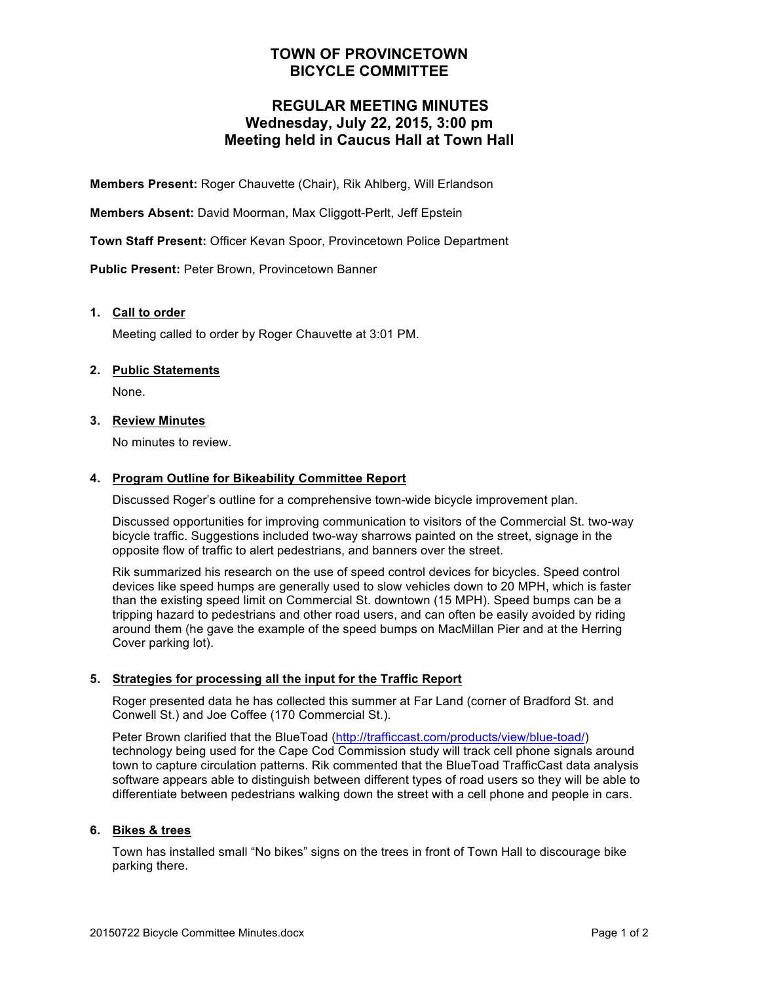# **TOWN OF PROVINCETOWN BICYCLE COMMITTEE**

# **REGULAR MEETING MINUTES Wednesday, July 22, 2015, 3:00 pm Meeting held in Caucus Hall at Town Hall**

**Members Present:** Roger Chauvette (Chair), Rik Ahlberg, Will Erlandson

**Members Absent:** David Moorman, Max Cliggott-Perlt, Jeff Epstein

**Town Staff Present:** Officer Kevan Spoor, Provincetown Police Department

**Public Present:** Peter Brown, Provincetown Banner

### **1. Call to order**

Meeting called to order by Roger Chauvette at 3:01 PM.

### **2. Public Statements**

None.

### **3. Review Minutes**

No minutes to review.

### **4. Program Outline for Bikeability Committee Report**

Discussed Roger's outline for a comprehensive town-wide bicycle improvement plan.

Discussed opportunities for improving communication to visitors of the Commercial St. two-way bicycle traffic. Suggestions included two-way sharrows painted on the street, signage in the opposite flow of traffic to alert pedestrians, and banners over the street.

Rik summarized his research on the use of speed control devices for bicycles. Speed control devices like speed humps are generally used to slow vehicles down to 20 MPH, which is faster than the existing speed limit on Commercial St. downtown (15 MPH). Speed bumps can be a tripping hazard to pedestrians and other road users, and can often be easily avoided by riding around them (he gave the example of the speed bumps on MacMillan Pier and at the Herring Cover parking lot).

### **5. Strategies for processing all the input for the Traffic Report**

Roger presented data he has collected this summer at Far Land (corner of Bradford St. and Conwell St.) and Joe Coffee (170 Commercial St.).

Peter Brown clarified that the BlueToad (http://trafficcast.com/products/view/blue-toad/) technology being used for the Cape Cod Commission study will track cell phone signals around town to capture circulation patterns. Rik commented that the BlueToad TrafficCast data analysis software appears able to distinguish between different types of road users so they will be able to differentiate between pedestrians walking down the street with a cell phone and people in cars.

### **6. Bikes & trees**

Town has installed small "No bikes" signs on the trees in front of Town Hall to discourage bike parking there.